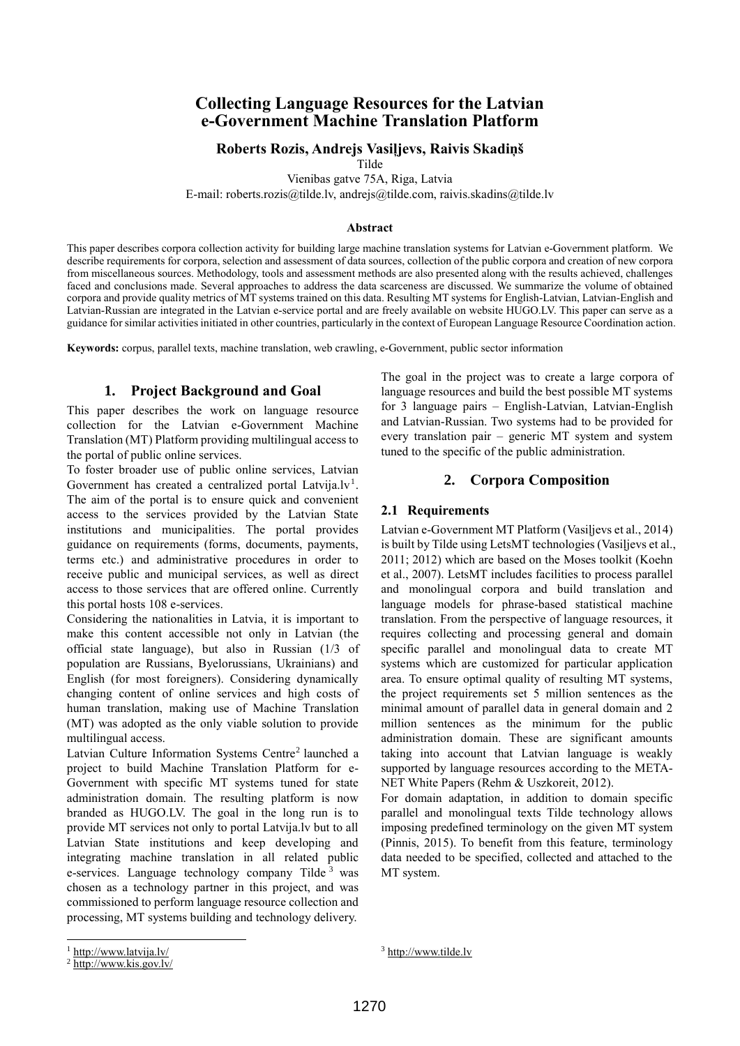# **Collecting Language Resources for the Latvian e-Government Machine Translation Platform**

#### **Roberts Rozis, Andrejs Vasiļjevs, Raivis Skadiņš**

Tilde

Vienibas gatve 75A, Riga, Latvia

E-mail: roberts.rozis@tilde.lv, andrejs@tilde.com, raivis.skadins@tilde.lv

#### **Abstract**

This paper describes corpora collection activity for building large machine translation systems for Latvian e-Government platform. We describe requirements for corpora, selection and assessment of data sources, collection of the public corpora and creation of new corpora from miscellaneous sources. Methodology, tools and assessment methods are also presented along with the results achieved, challenges faced and conclusions made. Several approaches to address the data scarceness are discussed. We summarize the volume of obtained corpora and provide quality metrics of MT systems trained on this data. Resulting MT systems for English-Latvian, Latvian-English and Latvian-Russian are integrated in the Latvian e-service portal and are freely available on website HUGO.LV. This paper can serve as a guidance for similar activities initiated in other countries, particularly in the context of European Language Resource Coordination action.

**Keywords:** corpus, parallel texts, machine translation, web crawling, e-Government, public sector information

## **1. Project Background and Goal**

This paper describes the work on language resource collection for the Latvian e-Government Machine Translation (MT) Platform providing multilingual access to the portal of public online services.

To foster broader use of public online services, Latvian Government has created a centralized portal Latvija.lv<sup>1</sup>. The aim of the portal is to ensure quick and convenient access to the services provided by the Latvian State institutions and municipalities. The portal provides guidance on requirements (forms, documents, payments, terms etc.) and administrative procedures in order to receive public and municipal services, as well as direct access to those services that are offered online. Currently this portal hosts 108 e-services.

Considering the nationalities in Latvia, it is important to make this content accessible not only in Latvian (the official state language), but also in Russian (1/3 of population are Russians, Byelorussians, Ukrainians) and English (for most foreigners). Considering dynamically changing content of online services and high costs of human translation, making use of Machine Translation (MT) was adopted as the only viable solution to provide multilingual access.

Latvian Culture Information Systems Centre<sup>2</sup> launched a project to build Machine Translation Platform for e-Government with specific MT systems tuned for state administration domain. The resulting platform is now branded as HUGO.LV. The goal in the long run is to provide MT services not only to portal Latvija.lv but to all Latvian State institutions and keep developing and integrating machine translation in all related public e-services. Language technology company Tilde<sup>3</sup> was chosen as a technology partner in this project, and was commissioned to perform language resource collection and processing, MT systems building and technology delivery.

The goal in the project was to create a large corpora of language resources and build the best possible MT systems for 3 language pairs – English-Latvian, Latvian-English and Latvian-Russian. Two systems had to be provided for every translation pair – generic MT system and system tuned to the specific of the public administration.

#### **2. Corpora Composition**

#### **2.1 Requirements**

Latvian e-Government MT Platform (Vasiļjevs et al., 2014) is built by Tilde using LetsMT technologies (Vasiļjevs et al., 2011; 2012) which are based on the Moses toolkit (Koehn et al., 2007). LetsMT includes facilities to process parallel and monolingual corpora and build translation and language models for phrase-based statistical machine translation. From the perspective of language resources, it requires collecting and processing general and domain specific parallel and monolingual data to create MT systems which are customized for particular application area. To ensure optimal quality of resulting MT systems, the project requirements set 5 million sentences as the minimal amount of parallel data in general domain and 2 million sentences as the minimum for the public administration domain. These are significant amounts taking into account that Latvian language is weakly supported by language resources according to the META-NET White Papers (Rehm & Uszkoreit, 2012).

For domain adaptation, in addition to domain specific parallel and monolingual texts Tilde technology allows imposing predefined terminology on the given MT system (Pinnis, 2015). To benefit from this feature, terminology data needed to be specified, collected and attached to the MT system.

l

<sup>1</sup> <http://www.latvija.lv/>

<sup>2</sup> <http://www.kis.gov.lv/>

<sup>3</sup> [http://www.tilde.lv](http://www.tilde.lv/)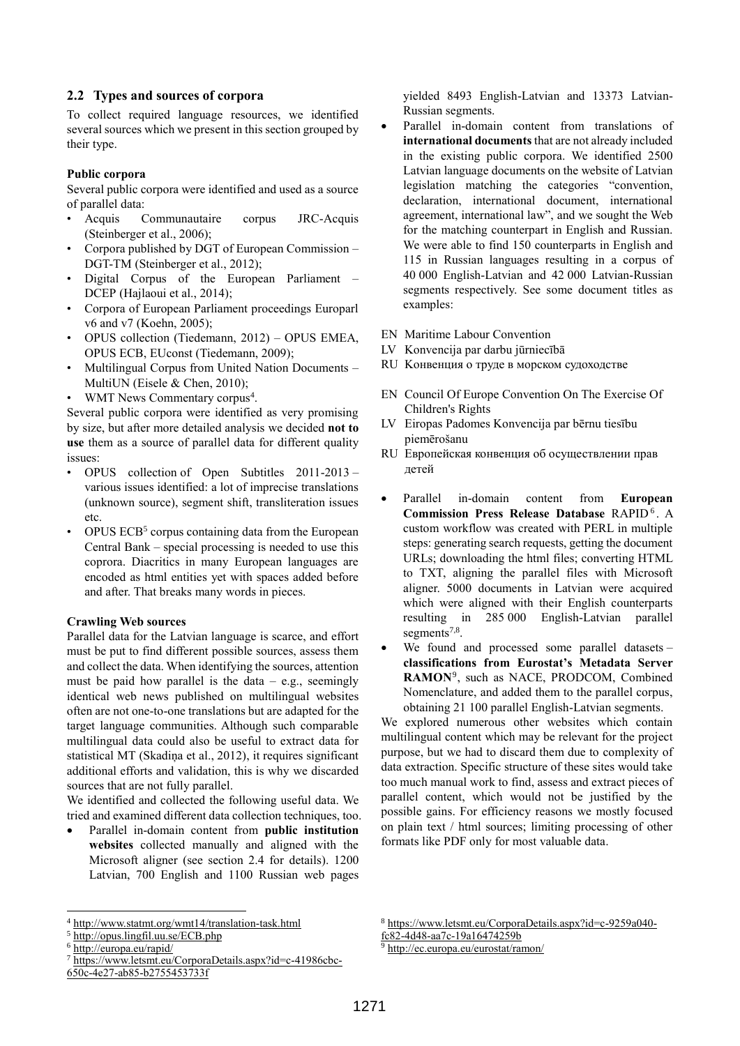### **2.2 Types and sources of corpora**

To collect required language resources, we identified several sources which we present in this section grouped by their type.

#### **Public corpora**

Several public corpora were identified and used as a source of parallel data:

- Acquis Communautaire corpus JRC-Acquis (Steinberger et al., 2006);
- Corpora published by DGT of European Commission DGT-TM (Steinberger et al., 2012);
- Digital Corpus of the European Parliament DCEP (Hajlaoui et al., 2014);
- Corpora of European Parliament proceedings Europarl v6 and v7 (Koehn, 2005);
- OPUS collection (Tiedemann, 2012) OPUS EMEA, OPUS ECB, EUconst (Tiedemann, 2009);
- Multilingual Corpus from United Nation Documents MultiUN (Eisele & Chen, 2010);
- WMT News Commentary corpus<sup>4</sup>.

Several public corpora were identified as very promising by size, but after more detailed analysis we decided **not to use** them as a source of parallel data for different quality issues:

- OPUS collection of Open Subtitles 2011-2013 various issues identified: a lot of imprecise translations (unknown source), segment shift, transliteration issues etc.
- OPUS ECB<sup>5</sup> corpus containing data from the European Central Bank – special processing is needed to use this coprora. Diacritics in many European languages are encoded as html entities yet with spaces added before and after. That breaks many words in pieces.

#### **Crawling Web sources**

Parallel data for the Latvian language is scarce, and effort must be put to find different possible sources, assess them and collect the data. When identifying the sources, attention must be paid how parallel is the data  $-$  e.g., seemingly identical web news published on multilingual websites often are not one-to-one translations but are adapted for the target language communities. Although such comparable multilingual data could also be useful to extract data for statistical MT (Skadiņa et al., 2012), it requires significant additional efforts and validation, this is why we discarded sources that are not fully parallel.

We identified and collected the following useful data. We tried and examined different data collection techniques, too.

 Parallel in-domain content from **public institution websites** collected manually and aligned with the Microsoft aligner (see section 2.4 for details). 1200 Latvian, 700 English and 1100 Russian web pages

l

yielded 8493 English-Latvian and 13373 Latvian-Russian segments.

- Parallel in-domain content from translations of **international documents** that are not already included in the existing public corpora. We identified 2500 Latvian language documents on the website of Latvian legislation matching the categories "convention, declaration, international document, international agreement, international law", and we sought the Web for the matching counterpart in English and Russian. We were able to find 150 counterparts in English and 115 in Russian languages resulting in a corpus of 40 000 English-Latvian and 42 000 Latvian-Russian segments respectively. See some document titles as examples:
- EN Maritime Labour Convention
- LV Konvencija par darbu jūrniecībā
- RU Kонвенция о труде в морском судоходстве
- EN Council Of Europe Convention On The Exercise Of Children's Rights
- LV Eiropas Padomes Konvencija par bērnu tiesību piemērošanu
- RU Европейская конвенция об осуществлении прав детей
- Parallel in-domain content from **European**  Commission Press Release Database RAPID<sup>6</sup>. A custom workflow was created with PERL in multiple steps: generating search requests, getting the document URLs; downloading the html files; converting HTML to TXT, aligning the parallel files with Microsoft aligner. 5000 documents in Latvian were acquired which were aligned with their English counterparts resulting in 285 000 English-Latvian parallel segments<sup>7,8</sup>.
- We found and processed some parallel datasets **classifications from Eurostat's Metadata Server**  RAMON<sup>9</sup>, such as NACE, PRODCOM, Combined Nomenclature, and added them to the parallel corpus, obtaining 21 100 parallel English-Latvian segments.

We explored numerous other websites which contain multilingual content which may be relevant for the project purpose, but we had to discard them due to complexity of data extraction. Specific structure of these sites would take too much manual work to find, assess and extract pieces of parallel content, which would not be justified by the possible gains. For efficiency reasons we mostly focused on plain text / html sources; limiting processing of other formats like PDF only for most valuable data.

<http://ec.europa.eu/eurostat/ramon/>

<sup>4</sup> <http://www.statmt.org/wmt14/translation-task.html>

<sup>5</sup> <http://opus.lingfil.uu.se/ECB.php>

<sup>6</sup> <http://europa.eu/rapid/>

<sup>7</sup> [https://www.letsmt.eu/CorporaDetails.aspx?id=c-41986cbc-](https://www.letsmt.eu/CorporaDetails.aspx?id=c-41986cbc-650c-4e27-ab85-b2755453733f)[650c-4e27-ab85-b2755453733f](https://www.letsmt.eu/CorporaDetails.aspx?id=c-41986cbc-650c-4e27-ab85-b2755453733f)

<sup>8</sup> [https://www.letsmt.eu/CorporaDetails.aspx?id=c-9259a040-](https://www.letsmt.eu/CorporaDetails.aspx?id=c-9259a040-fc82-4d48-aa7c-19a16474259b)

[fc82-4d48-aa7c-19a16474259b](https://www.letsmt.eu/CorporaDetails.aspx?id=c-9259a040-fc82-4d48-aa7c-19a16474259b)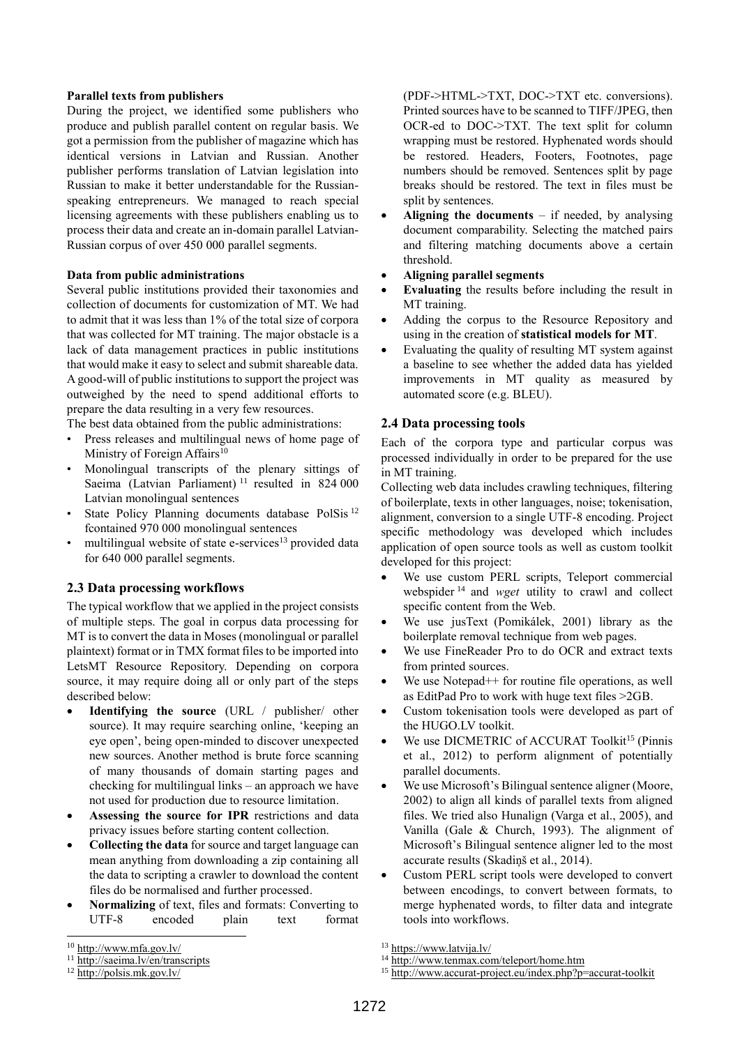#### **Parallel texts from publishers**

During the project, we identified some publishers who produce and publish parallel content on regular basis. We got a permission from the publisher of magazine which has identical versions in Latvian and Russian. Another publisher performs translation of Latvian legislation into Russian to make it better understandable for the Russianspeaking entrepreneurs. We managed to reach special licensing agreements with these publishers enabling us to process their data and create an in-domain parallel Latvian-Russian corpus of over 450 000 parallel segments.

#### **Data from public administrations**

Several public institutions provided their taxonomies and collection of documents for customization of MT. We had to admit that it was less than 1% of the total size of corpora that was collected for MT training. The major obstacle is a lack of data management practices in public institutions that would make it easy to select and submit shareable data. A good-will of public institutions to support the project was outweighed by the need to spend additional efforts to prepare the data resulting in a very few resources.

The best data obtained from the public administrations:

- Press releases and multilingual news of home page of Ministry of Foreign Affairs<sup>10</sup>
- Monolingual transcripts of the plenary sittings of Saeima (Latvian Parliament)<sup>11</sup> resulted in  $824\,000$ Latvian monolingual sentences
- State Policy Planning documents database PolSis<sup>12</sup> fcontained 970 000 monolingual sentences
- multilingual website of state e-services<sup>13</sup> provided data for 640 000 parallel segments.

#### **2.3 Data processing workflows**

The typical workflow that we applied in the project consists of multiple steps. The goal in corpus data processing for MT is to convert the data in Moses (monolingual or parallel plaintext) format or in TMX format files to be imported into LetsMT Resource Repository. Depending on corpora source, it may require doing all or only part of the steps described below:

- **Identifying the source** (URL / publisher/ other source). It may require searching online, 'keeping an eye open', being open-minded to discover unexpected new sources. Another method is brute force scanning of many thousands of domain starting pages and checking for multilingual links – an approach we have not used for production due to resource limitation.
- **Assessing the source for IPR** restrictions and data privacy issues before starting content collection.
- **Collecting the data** for source and target language can mean anything from downloading a zip containing all the data to scripting a crawler to download the content files do be normalised and further processed.
- **Normalizing** of text, files and formats: Converting to UTF-8 encoded plain text format

l

(PDF->HTML->TXT, DOC->TXT etc. conversions). Printed sources have to be scanned to TIFF/JPEG, then OCR-ed to DOC->TXT. The text split for column wrapping must be restored. Hyphenated words should be restored. Headers, Footers, Footnotes, page numbers should be removed. Sentences split by page breaks should be restored. The text in files must be split by sentences.

- **Aligning the documents** if needed, by analysing document comparability. Selecting the matched pairs and filtering matching documents above a certain threshold.
- **Aligning parallel segments**
- **Evaluating** the results before including the result in MT training.
- Adding the corpus to the Resource Repository and using in the creation of **statistical models for MT**.
- Evaluating the quality of resulting MT system against a baseline to see whether the added data has yielded improvements in MT quality as measured by automated score (e.g. BLEU).

#### **2.4 Data processing tools**

Each of the corpora type and particular corpus was processed individually in order to be prepared for the use in MT training.

Collecting web data includes crawling techniques, filtering of boilerplate, texts in other languages, noise; tokenisation, alignment, conversion to a single UTF-8 encoding. Project specific methodology was developed which includes application of open source tools as well as custom toolkit developed for this project:

- We use custom PERL scripts, Teleport commercial webspider <sup>14</sup> and *wget* utility to crawl and collect specific content from the Web.
- We use jusText (Pomikálek, 2001) library as the boilerplate removal technique from web pages.
- We use FineReader Pro to do OCR and extract texts from printed sources.
- We use Notepad<sup>++</sup> for routine file operations, as well as EditPad Pro to work with huge text files >2GB.
- Custom tokenisation tools were developed as part of the HUGO.LV toolkit.
- We use DICMETRIC of ACCURAT Toolkit<sup>15</sup> (Pinnis et al., 2012) to perform alignment of potentially parallel documents.
- We use Microsoft's Bilingual sentence aligner (Moore, 2002) to align all kinds of parallel texts from aligned files. We tried also Hunalign (Varga et al., 2005), and Vanilla (Gale & Church, 1993). The alignment of Microsoft's Bilingual sentence aligner led to the most accurate results (Skadiņš et al., 2014).
- Custom PERL script tools were developed to convert between encodings, to convert between formats, to merge hyphenated words, to filter data and integrate tools into workflows.

<sup>10</sup> <http://www.mfa.gov.lv/>

<sup>&</sup>lt;sup>11</sup> <http://saeima.lv/en/transcripts>

<sup>12</sup> <http://polsis.mk.gov.lv/>

<sup>13</sup> <https://www.latvija.lv/>

<sup>&</sup>lt;sup>14</sup> <http://www.tenmax.com/teleport/home.htm>

<sup>15</sup> <http://www.accurat-project.eu/index.php?p=accurat-toolkit>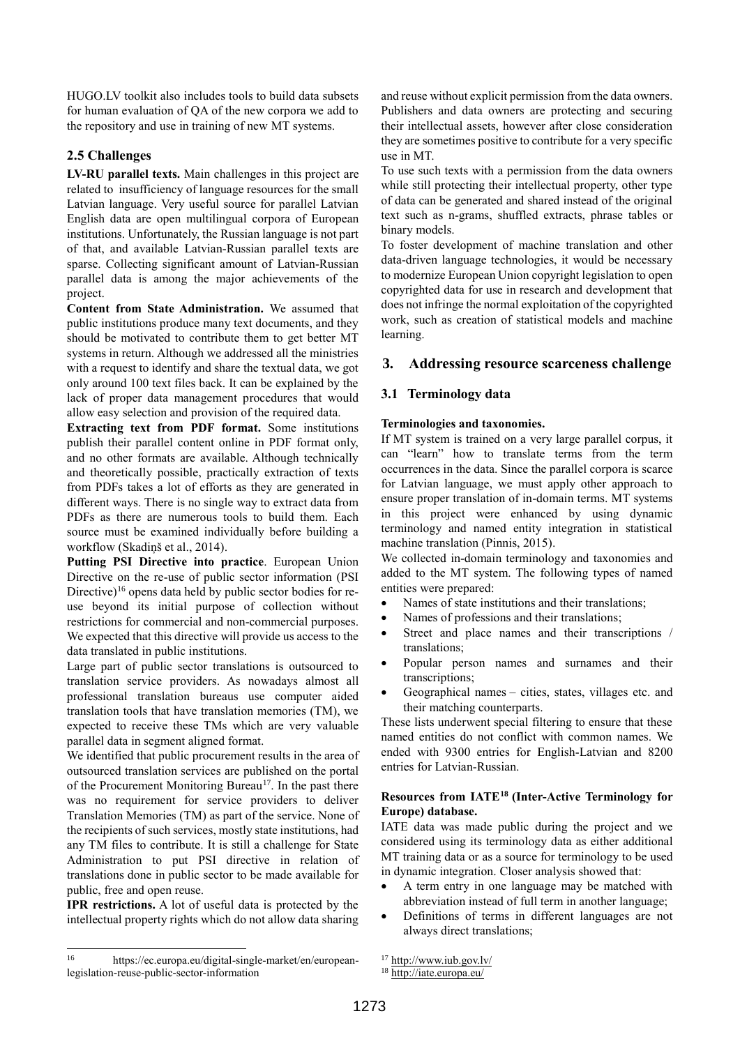HUGO.LV toolkit also includes tools to build data subsets for human evaluation of QA of the new corpora we add to the repository and use in training of new MT systems.

# **2.5 Challenges**

**LV-RU parallel texts.** Main challenges in this project are related to insufficiency of language resources for the small Latvian language. Very useful source for parallel Latvian English data are open multilingual corpora of European institutions. Unfortunately, the Russian language is not part of that, and available Latvian-Russian parallel texts are sparse. Collecting significant amount of Latvian-Russian parallel data is among the major achievements of the project.

**Content from State Administration.** We assumed that public institutions produce many text documents, and they should be motivated to contribute them to get better MT systems in return. Although we addressed all the ministries with a request to identify and share the textual data, we got only around 100 text files back. It can be explained by the lack of proper data management procedures that would allow easy selection and provision of the required data.

**Extracting text from PDF format.** Some institutions publish their parallel content online in PDF format only, and no other formats are available. Although technically and theoretically possible, practically extraction of texts from PDFs takes a lot of efforts as they are generated in different ways. There is no single way to extract data from PDFs as there are numerous tools to build them. Each source must be examined individually before building a workflow (Skadiņš et al., 2014).

**Putting PSI Directive into practice**. European Union Directive on the re-use of public sector information (PSI Directive)<sup>16</sup> opens data held by public sector bodies for reuse beyond its initial purpose of collection without restrictions for commercial and non-commercial purposes. We expected that this directive will provide us access to the data translated in public institutions.

Large part of public sector translations is outsourced to translation service providers. As nowadays almost all professional translation bureaus use computer aided translation tools that have translation memories (TM), we expected to receive these TMs which are very valuable parallel data in segment aligned format.

We identified that public procurement results in the area of outsourced translation services are published on the portal of the Procurement Monitoring Bureau<sup>17</sup>. In the past there was no requirement for service providers to deliver Translation Memories (TM) as part of the service. None of the recipients of such services, mostly state institutions, had any TM files to contribute. It is still a challenge for State Administration to put PSI directive in relation of translations done in public sector to be made available for public, free and open reuse.

**IPR restrictions.** A lot of useful data is protected by the intellectual property rights which do not allow data sharing

 $\frac{1}{16}$  https://ec.europa.eu/digital-single-market/en/europeanlegislation-reuse-public-sector-information

and reuse without explicit permission from the data owners. Publishers and data owners are protecting and securing their intellectual assets, however after close consideration they are sometimes positive to contribute for a very specific use in MT.

To use such texts with a permission from the data owners while still protecting their intellectual property, other type of data can be generated and shared instead of the original text such as n-grams, shuffled extracts, phrase tables or binary models.

To foster development of machine translation and other data-driven language technologies, it would be necessary to modernize European Union copyright legislation to open copyrighted data for use in research and development that does not infringe the normal exploitation of the copyrighted work, such as creation of statistical models and machine learning.

# **3. Addressing resource scarceness challenge**

## **3.1 Terminology data**

## **Terminologies and taxonomies.**

If MT system is trained on a very large parallel corpus, it can "learn" how to translate terms from the term occurrences in the data. Since the parallel corpora is scarce for Latvian language, we must apply other approach to ensure proper translation of in-domain terms. MT systems in this project were enhanced by using dynamic terminology and named entity integration in statistical machine translation (Pinnis, 2015).

We collected in-domain terminology and taxonomies and added to the MT system. The following types of named entities were prepared:

- Names of state institutions and their translations;
- Names of professions and their translations;
- Street and place names and their transcriptions / translations;
- Popular person names and surnames and their transcriptions;
- Geographical names cities, states, villages etc. and their matching counterparts.

These lists underwent special filtering to ensure that these named entities do not conflict with common names. We ended with 9300 entries for English-Latvian and 8200 entries for Latvian-Russian.

## **Resources from IATE<sup>18</sup> (Inter-Active Terminology for Europe) database.**

IATE data was made public during the project and we considered using its terminology data as either additional MT training data or as a source for terminology to be used in dynamic integration. Closer analysis showed that:

- A term entry in one language may be matched with abbreviation instead of full term in another language;
- Definitions of terms in different languages are not always direct translations;

<sup>17</sup> <http://www.iub.gov.lv/>

<sup>18</sup> <http://iate.europa.eu/>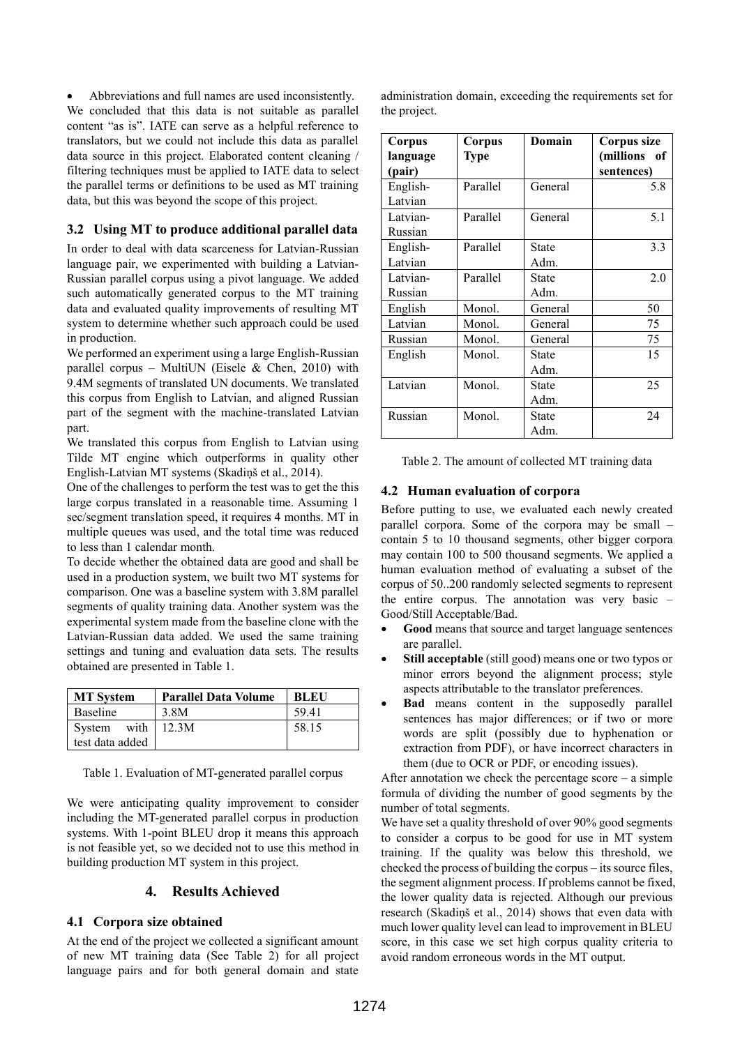Abbreviations and full names are used inconsistently. We concluded that this data is not suitable as parallel content "as is". IATE can serve as a helpful reference to translators, but we could not include this data as parallel data source in this project. Elaborated content cleaning / filtering techniques must be applied to IATE data to select the parallel terms or definitions to be used as MT training data, but this was beyond the scope of this project.

# **3.2 Using MT to produce additional parallel data**

In order to deal with data scarceness for Latvian-Russian language pair, we experimented with building a Latvian-Russian parallel corpus using a pivot language. We added such automatically generated corpus to the MT training data and evaluated quality improvements of resulting MT system to determine whether such approach could be used in production.

We performed an experiment using a large English-Russian parallel corpus – MultiUN (Eisele & Chen, 2010) with 9.4M segments of translated UN documents. We translated this corpus from English to Latvian, and aligned Russian part of the segment with the machine-translated Latvian part.

We translated this corpus from English to Latvian using Tilde MT engine which outperforms in quality other English-Latvian MT systems (Skadiņš et al., 2014).

One of the challenges to perform the test was to get the this large corpus translated in a reasonable time. Assuming 1 sec/segment translation speed, it requires 4 months. MT in multiple queues was used, and the total time was reduced to less than 1 calendar month.

To decide whether the obtained data are good and shall be used in a production system, we built two MT systems for comparison. One was a baseline system with 3.8M parallel segments of quality training data. Another system was the experimental system made from the baseline clone with the Latvian-Russian data added. We used the same training settings and tuning and evaluation data sets. The results obtained are presented in Table 1.

| <b>MT System</b>  | <b>Parallel Data Volume</b> | <b>BLEU</b> |
|-------------------|-----------------------------|-------------|
| Baseline          | 3.8M                        | 59.41       |
| System with 12.3M |                             | 58.15       |
| test data added   |                             |             |

Table 1. Evaluation of MT-generated parallel corpus

We were anticipating quality improvement to consider including the MT-generated parallel corpus in production systems. With 1-point BLEU drop it means this approach is not feasible yet, so we decided not to use this method in building production MT system in this project.

# **4. Results Achieved**

## **4.1 Corpora size obtained**

At the end of the project we collected a significant amount of new MT training data (See Table 2) for all project language pairs and for both general domain and state

administration domain, exceeding the requirements set for the project.

| Corpus   | Corpus   | Domain  | Corpus size  |
|----------|----------|---------|--------------|
| language | Type     |         | (millions of |
| (pair)   |          |         | sentences)   |
| English- | Parallel | General | 5.8          |
| Latvian  |          |         |              |
| Latvian- | Parallel | General | 5.1          |
| Russian  |          |         |              |
| English- | Parallel | State   | 3.3          |
| Latvian  |          | Adm.    |              |
| Latvian- | Parallel | State   | 2.0          |
| Russian  |          | Adm.    |              |
| English  | Monol.   | General | 50           |
| Latvian  | Monol.   | General | 75           |
| Russian  | Monol.   | General | 75           |
| English  | Monol.   | State   | 15           |
|          |          | Adm.    |              |
| Latvian  | Monol.   | State   | 25           |
|          |          | Adm.    |              |
| Russian  | Monol.   | State   | 24           |
|          |          | Adm.    |              |

Table 2. The amount of collected MT training data

## **4.2 Human evaluation of corpora**

Before putting to use, we evaluated each newly created parallel corpora. Some of the corpora may be small – contain 5 to 10 thousand segments, other bigger corpora may contain 100 to 500 thousand segments. We applied a human evaluation method of evaluating a subset of the corpus of 50..200 randomly selected segments to represent the entire corpus. The annotation was very basic – Good/Still Acceptable/Bad.

- **Good** means that source and target language sentences are parallel.
- **Still acceptable** (still good) means one or two typos or minor errors beyond the alignment process; style aspects attributable to the translator preferences.
- **Bad** means content in the supposedly parallel sentences has major differences; or if two or more words are split (possibly due to hyphenation or extraction from PDF), or have incorrect characters in them (due to OCR or PDF, or encoding issues).

After annotation we check the percentage score – a simple formula of dividing the number of good segments by the number of total segments.

We have set a quality threshold of over 90% good segments to consider a corpus to be good for use in MT system training. If the quality was below this threshold, we checked the process of building the corpus – its source files, the segment alignment process. If problems cannot be fixed, the lower quality data is rejected. Although our previous research (Skadiņš et al., 2014) shows that even data with much lower quality level can lead to improvement in BLEU score, in this case we set high corpus quality criteria to avoid random erroneous words in the MT output.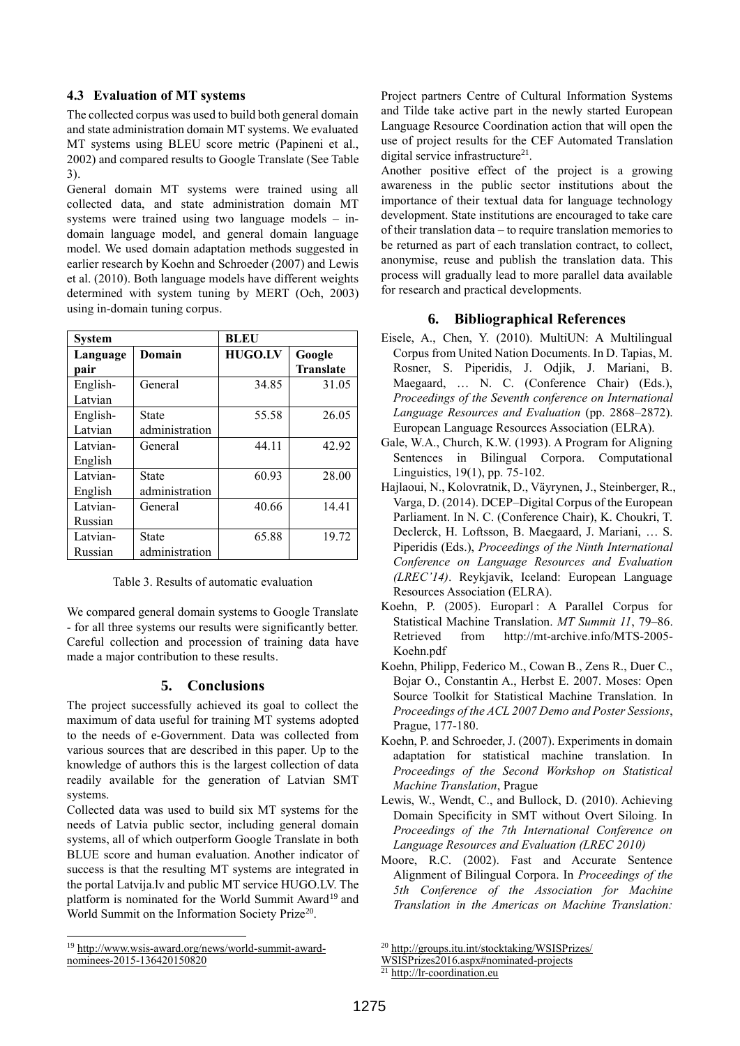## **4.3 Evaluation of MT systems**

The collected corpus was used to build both general domain and state administration domain MT systems. We evaluated MT systems using BLEU score metric (Papineni et al., 2002) and compared results to Google Translate (See Table 3).

General domain MT systems were trained using all collected data, and state administration domain MT systems were trained using two language models – indomain language model, and general domain language model. We used domain adaptation methods suggested in earlier research by Koehn and Schroeder (2007) and Lewis et al. (2010). Both language models have different weights determined with system tuning by MERT (Och, 2003) using in-domain tuning corpus.

| System   |                | <b>BLEU</b>    |                  |
|----------|----------------|----------------|------------------|
| Language | Domain         | <b>HUGO.LV</b> | Google           |
| pair     |                |                | <b>Translate</b> |
| English- | General        | 34.85          | 31.05            |
| Latvian  |                |                |                  |
| English- | State          | 55.58          | 26.05            |
| Latvian  | administration |                |                  |
| Latvian- | General        | 44.11          | 42.92            |
| English  |                |                |                  |
| Latvian- | State          | 60.93          | 28.00            |
| English  | administration |                |                  |
| Latvian- | General        | 40.66          | 14.41            |
| Russian  |                |                |                  |
| Latvian- | <b>State</b>   | 65.88          | 19.72            |
| Russian  | administration |                |                  |

We compared general domain systems to Google Translate - for all three systems our results were significantly better. Careful collection and procession of training data have made a major contribution to these results.

## **5. Conclusions**

The project successfully achieved its goal to collect the maximum of data useful for training MT systems adopted to the needs of e-Government. Data was collected from various sources that are described in this paper. Up to the knowledge of authors this is the largest collection of data readily available for the generation of Latvian SMT systems.

Collected data was used to build six MT systems for the needs of Latvia public sector, including general domain systems, all of which outperform Google Translate in both BLUE score and human evaluation. Another indicator of success is that the resulting MT systems are integrated in the portal [Latvija.lv](https://www.latvija.lv/) and public MT service [HUGO.LV.](http://www.hugo.lv/) The platform is nominated for the World Summit Award<sup>19</sup> and World Summit on the Information Society Prize<sup>20</sup>.

<sup>19</sup> [http://www.wsis-award.org/news/world-summit-award](http://www.wsis-award.org/news/world-summit-award-nominees-2015-136420150820)[nominees-2015-136420150820](http://www.wsis-award.org/news/world-summit-award-nominees-2015-136420150820)

l

Project partners Centre of Cultural Information Systems and Tilde take active part in the newly started European Language Resource Coordination action that will open the use of project results for the CEF Automated Translation digital service infrastructure<sup>21</sup>.

Another positive effect of the project is a growing awareness in the public sector institutions about the importance of their textual data for language technology development. State institutions are encouraged to take care of their translation data – to require translation memories to be returned as part of each translation contract, to collect, anonymise, reuse and publish the translation data. This process will gradually lead to more parallel data available for research and practical developments.

## **6. Bibliographical References**

- Eisele, A., Chen, Y. (2010). MultiUN: A Multilingual Corpus from United Nation Documents. In D. Tapias, M. Rosner, S. Piperidis, J. Odjik, J. Mariani, B. Maegaard, … N. C. (Conference Chair) (Eds.), *Proceedings of the Seventh conference on International Language Resources and Evaluation* (pp. 2868–2872). European Language Resources Association (ELRA).
- Gale, W.A., Church, K.W. (1993). A Program for Aligning Sentences in Bilingual Corpora. Computational Linguistics, 19(1), pp. 75-102.
- Hajlaoui, N., Kolovratnik, D., Väyrynen, J., Steinberger, R., Varga, D. (2014). DCEP–Digital Corpus of the European Parliament. In N. C. (Conference Chair), K. Choukri, T. Declerck, H. Loftsson, B. Maegaard, J. Mariani, … S. Piperidis (Eds.), *Proceedings of the Ninth International Conference on Language Resources and Evaluation (LREC'14)*. Reykjavik, Iceland: European Language Resources Association (ELRA).
- Koehn, P. (2005). Europarl : A Parallel Corpus for Statistical Machine Translation. *MT Summit 11*, 79–86. Retrieved from http://mt-archive.info/MTS-2005- Koehn.pdf
- Koehn, Philipp, Federico M., Cowan B., Zens R., Duer C., Bojar O., Constantin A., Herbst E. 2007. Moses: Open Source Toolkit for Statistical Machine Translation. In *Proceedings of the ACL 2007 Demo and Poster Sessions*, Prague, 177-180.
- Koehn, P. and Schroeder, J. (2007). Experiments in domain adaptation for statistical machine translation. In *Proceedings of the Second Workshop on Statistical Machine Translation*, Prague
- Lewis, W., Wendt, C., and Bullock, D. (2010). Achieving Domain Specificity in SMT without Overt Siloing. In *Proceedings of the 7th International Conference on Language Resources and Evaluation (LREC 2010)*
- Moore, R.C. (2002). Fast and Accurate Sentence Alignment of Bilingual Corpora. In *Proceedings of the 5th Conference of the Association for Machine Translation in the Americas on Machine Translation:*

<sup>20</sup> [http://groups.itu.int/stocktaking/WSISPrizes/](http://groups.itu.int/stocktaking/WSISPrizes/WSISPrizes2016.aspx#nominated-projects)

[WSISPrizes2016.aspx#nominated-projects](http://groups.itu.int/stocktaking/WSISPrizes/WSISPrizes2016.aspx#nominated-projects)

 $\frac{21 \text{ http://lr-coordination.eu}}{21 \text{ http://lr-coordination.eu}}$  $\frac{21 \text{ http://lr-coordination.eu}}{21 \text{ http://lr-coordination.eu}}$  $\frac{21 \text{ http://lr-coordination.eu}}{21 \text{ http://lr-coordination.eu}}$